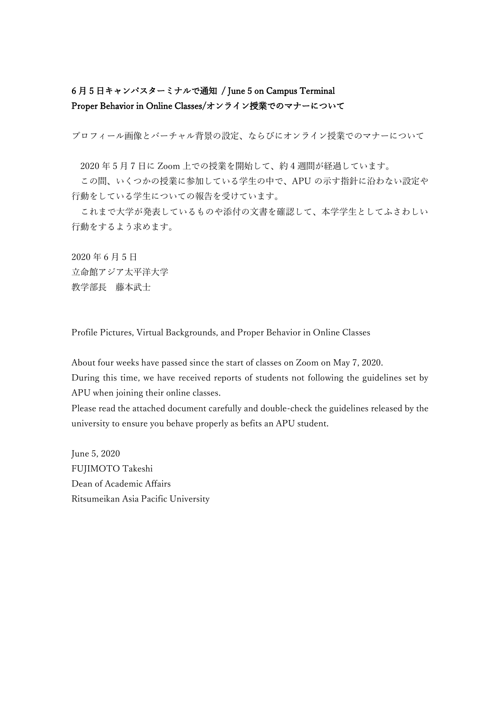# 6 月 5 日キャンパスターミナルで通知 / June 5 on Campus Terminal Proper Behavior in Online Classes/オンライン授業でのマナーについて

プロフィール画像とバーチャル背景の設定、ならびにオンライン授業でのマナーについて

2020 年 5 月 7 日に Zoom 上での授業を開始して、約 4 週間が経過しています。

この間、いくつかの授業に参加している学生の中で、APU の示す指針に沿わない設定や 行動をしている学生についての報告を受けています。

これまで大学が発表しているものや添付の文書を確認して、本学学生としてふさわしい 行動をするよう求めます。

2020 年 6 月 5 日 立命館アジア太平洋大学 教学部長 藤本武士

Profile Pictures, Virtual Backgrounds, and Proper Behavior in Online Classes

About four weeks have passed since the start of classes on Zoom on May 7, 2020.

During this time, we have received reports of students not following the guidelines set by APU when joining their online classes.

Please read the attached document carefully and double-check the guidelines released by the university to ensure you behave properly as befits an APU student.

June 5, 2020 FUJIMOTO Takeshi Dean of Academic Affairs Ritsumeikan Asia Pacific University